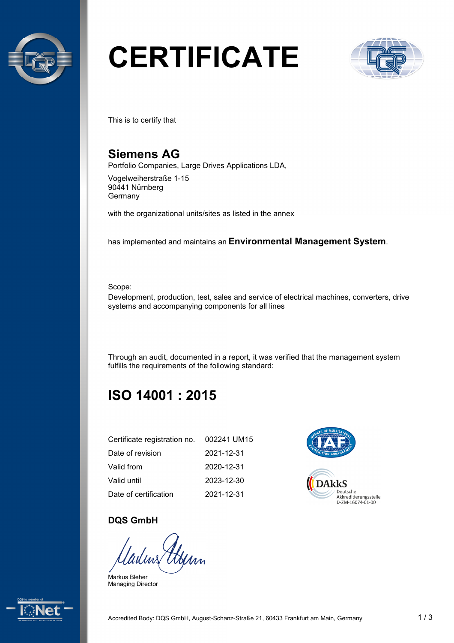

# **CERTIFICATE**



This is to certify that

## **Siemens AG**

Portfolio Companies, Large Drives Applications LDA,

Vogelweiherstraße 1-15 90441 Nürnberg **Germany** 

with the organizational units/sites as listed in the annex

has implemented and maintains an **Environmental Management System**.

Scope:

Development, production, test, sales and service of electrical machines, converters, drive systems and accompanying components for all lines

Through an audit, documented in a report, it was verified that the management system fulfills the requirements of the following standard:

## **ISO 14001 : 2015**

| Certificate registration no. | 002241 UM15 |
|------------------------------|-------------|
| Date of revision             | 2021-12-31  |
| Valid from                   | 2020-12-31  |
| Valid until                  | 2023-12-30  |
| Date of certification        | 2021-12-31  |



#### **DQS GmbH**

Henn

Markus Bleher Managing Director

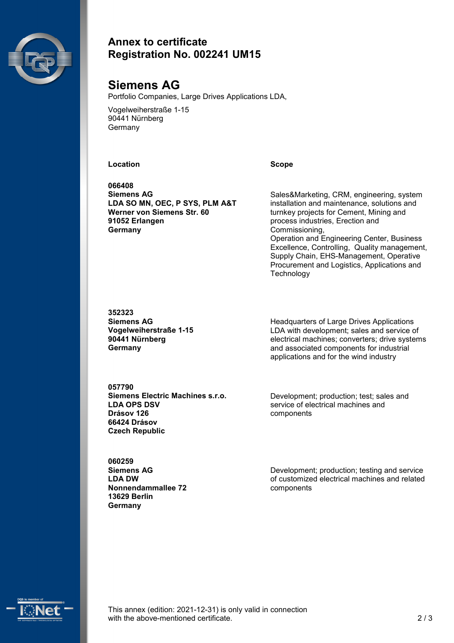

#### **Annex to certificate Registration No. 002241 UM15**

### **Siemens AG**

Portfolio Companies, Large Drives Applications LDA,

Vogelweiherstraße 1-15 90441 Nürnberg **Germany** 

#### **Location Scope**

**066408 Siemens AG LDA SO MN, OEC, P SYS, PLM A&T Werner von Siemens Str. 60 91052 Erlangen Germany**

Sales&Marketing, CRM, engineering, system installation and maintenance, solutions and turnkey projects for Cement, Mining and process industries, Erection and Commissioning, Operation and Engineering Center, Business Excellence, Controlling, Quality management, Supply Chain, EHS-Management, Operative Procurement and Logistics, Applications and **Technology** 

**352323 Siemens AG Vogelweiherstraße 1-15 90441 Nürnberg Germany**

Headquarters of Large Drives Applications LDA with development; sales and service of electrical machines; converters; drive systems and associated components for industrial applications and for the wind industry

**057790 Siemens Electric Machines s.r.o. LDA OPS DSV Drásov 126 66424 Drásov Czech Republic**

Development; production; test; sales and service of electrical machines and components

**060259 Siemens AG LDA DW Nonnendammallee 72 13629 Berlin Germany**

Development; production; testing and service of customized electrical machines and related components



This annex (edition: 2021-12-31) is only valid in connection with the above-mentioned certificate. 2 / 3